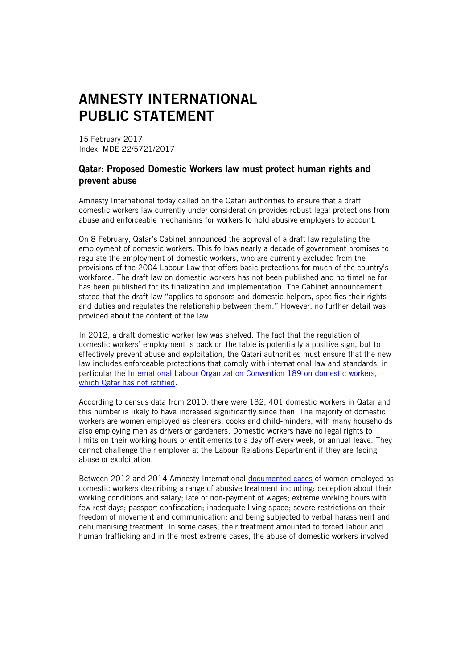## AMNESTY INTERNATIONAL PUBLIC STATEMENT

15 February 2017 Index: MDE 22/5721/2017

## Qatar: Proposed Domestic Workers law must protect human rights and prevent abuse

Amnesty International today called on the Qatari authorities to ensure that a draft domestic workers law currently under consideration provides robust legal protections from abuse and enforceable mechanisms for workers to hold abusive employers to account.

On 8 February, Qatar's Cabinet announced the approval of a draft law regulating the employment of domestic workers. This follows nearly a decade of government promises to regulate the employment of domestic workers, who are currently excluded from the provisions of the 2004 Labour Law that offers basic protections for much of the country's workforce. The draft law on domestic workers has not been published and no timeline for has been published for its finalization and implementation. The Cabinet announcement stated that the draft law "applies to sponsors and domestic helpers, specifies their rights and duties and regulates the relationship between them." However, no further detail was provided about the content of the law.

In 2012, a draft domestic worker law was shelved. The fact that the regulation of domestic workers' employment is back on the table is potentially a positive sign, but to effectively prevent abuse and exploitation, the Qatari authorities must ensure that the new law includes enforceable protections that comply with international law and standards, in particular the International Labour Organization [Convention 189 on domestic workers,](http://www.ilo.org/dyn/normlex/en/f?p=NORMLEXPUB:12100:0::NO::p12100_instrument_id:2551460) which Qatar has not ratified.

According to census data from 2010, there were 132, 401 domestic workers in Qatar and this number is likely to have increased significantly since then. The majority of domestic workers are women employed as cleaners, cooks and child-minders, with many households also employing men as drivers or gardeners. Domestic workers have no legal rights to limits on their working hours or entitlements to a day off every week, or annual leave. They cannot challenge their employer at the Labour Relations Department if they are facing abuse or exploitation.

Between 2012 and 2014 Amnesty International [documented cases](https://www.amnesty.org/en/latest/news/2014/04/foreign-domestic-workers-qatar-shocking-cases-deception-forced-labour-violence/) of women employed as domestic workers describing a range of abusive treatment including: deception about their working conditions and salary; late or non-payment of wages; extreme working hours with few rest days; passport confiscation; inadequate living space; severe restrictions on their freedom of movement and communication; and being subjected to verbal harassment and dehumanising treatment. In some cases, their treatment amounted to forced labour and human trafficking and in the most extreme cases, the abuse of domestic workers involved